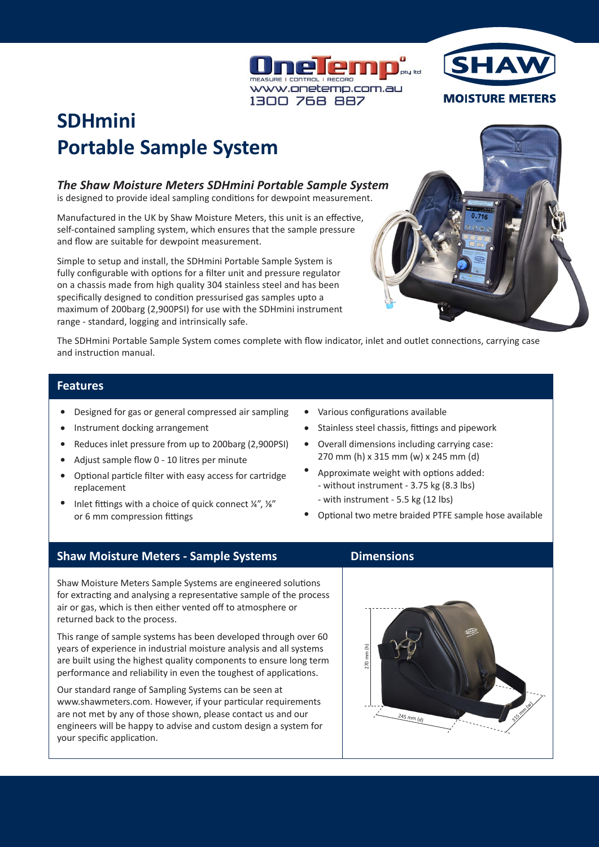



# **SDHmini Portable Sample System**

## *The Shaw Moisture Meters SDHmini Portable Sample System*

is designed to provide ideal sampling conditions for dewpoint measurement.

Manufactured in the UK by Shaw Moisture Meters, this unit is an effective, self-contained sampling system, which ensures that the sample pressure and flow are suitable for dewpoint measurement.

Simple to setup and install, the SDHmini Portable Sample System is fully configurable with options for a filter unit and pressure regulator on a chassis made from high quality 304 stainless steel and has been specifically designed to condition pressurised gas samples upto a maximum of 200barg (2,900PSI) for use with the SDHmini instrument range - standard, logging and intrinsically safe.

The SDHmini Portable Sample System comes complete with flow indicator, inlet and outlet connections, carrying case and instruction manual.

#### **Features**

- Designed for gas or general compressed air sampling •
- Instrument docking arrangement •
- Reduces inlet pressure from up to 200barg (2,900PSI) •
- Adjust sample flow 0 10 litres per minute •
- Optional particle filter with easy access for cartridge replacement •
- Inlet fittings with a choice of quick connect ¼", ⅛" or 6 mm compression fittings •
- Various configurations available •
- Stainless steel chassis, fittings and pipework •
- Overall dimensions including carrying case: 270 mm (h) x 315 mm (w) x 245 mm (d) •
- Approximate weight with options added: - without instrument - 3.75 kg (8.3 lbs) •
	- with instrument 5.5 kg (12 lbs)
- Optional two metre braided PTFE sample hose available •

# **Shaw Moisture Meters - Sample Systems**

Shaw Moisture Meters Sample Systems are engineered solutions for extracting and analysing a representative sample of the process air or gas, which is then either vented off to atmosphere or returned back to the process.

This range of sample systems has been developed through over 60 years of experience in industrial moisture analysis and all systems are built using the highest quality components to ensure long term performance and reliability in even the toughest of applications.

Our standard range of Sampling Systems can be seen at www.shawmeters.com. However, if your particular requirements are not met by any of those shown, please contact us and our engineers will be happy to advise and custom design a system for your specific application.

# **Dimensions**